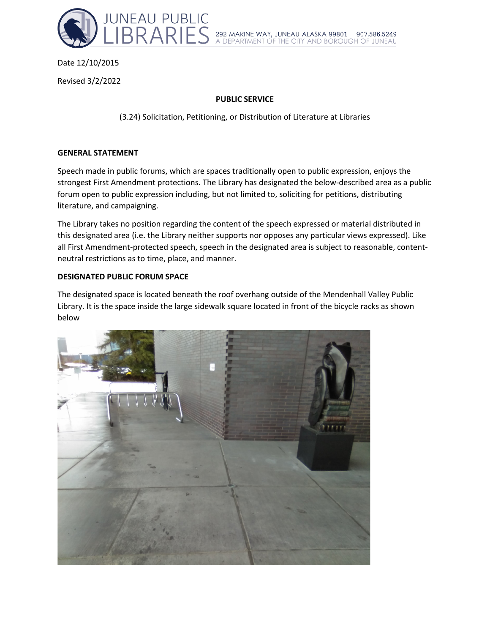

# Date 12/10/2015

Revised 3/2/2022

## **PUBLIC SERVICE**

(3.24) Solicitation, Petitioning, or Distribution of Literature at Libraries

### **GENERAL STATEMENT**

Speech made in public forums, which are spaces traditionally open to public expression, enjoys the strongest First Amendment protections. The Library has designated the below-described area as a public forum open to public expression including, but not limited to, soliciting for petitions, distributing literature, and campaigning.

The Library takes no position regarding the content of the speech expressed or material distributed in this designated area (i.e. the Library neither supports nor opposes any particular views expressed). Like all First Amendment-protected speech, speech in the designated area is subject to reasonable, contentneutral restrictions as to time, place, and manner.

## **DESIGNATED PUBLIC FORUM SPACE**

The designated space is located beneath the roof overhang outside of the Mendenhall Valley Public Library. It is the space inside the large sidewalk square located in front of the bicycle racks as shown below